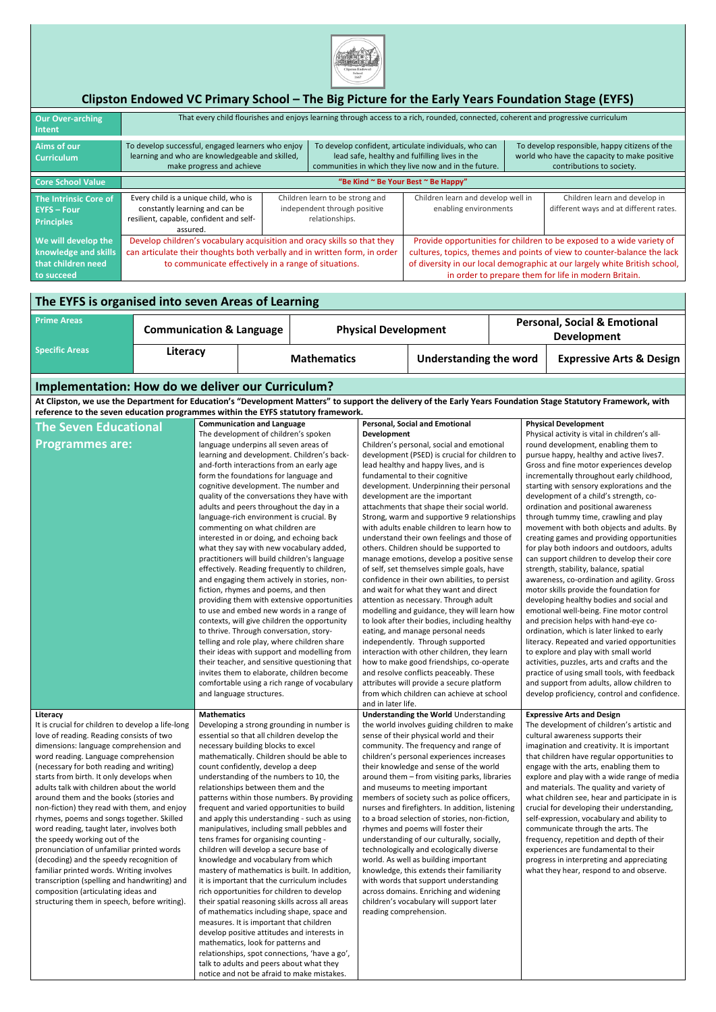

## **Clipston Endowed VC Primary School – The Big Picture for the Early Years Foundation Stage (EYFS)**

oria involves guiding children to make sense of their physical world and their community. The frequency and range of children's personal experiences increases their knowledge and sense of the world around them – from visiting parks, libraries and museums to meeting important members of society such as police officers, nurses and firefighters. In addition, listening to a broad selection of stories, non-fiction, rhymes and poems will foster their understanding of our culturally, socially, technologically and ecologically diverse world. As well as building important knowledge, this extends their familiarity with words that support understanding across domains. Enriching and widening children's vocabulary will support later reading comprehension.

| <b>Our Over-arching</b><br><b>Intent</b>                                                                                                                                                                                                                                                                | That every child flourishes and enjoys learning through access to a rich, rounded, connected, coherent and progressive curriculum                                                                            |                                                                                                                                                                                                                                                                                                                                                                                                                                                                                                                                                                                                                                                                                                                                                                                                                                                                                                                                                                                                                                                                                                                                                      |  |                                                                                                                                                                  |                                                                                                                                                                                                                                                                                                                                                                                                                                                                                                                                                                                                                                                                                                                                                                                                                                                                                                                                                                                                                                                                                                        |                                                                                                                                                                                                                                                                                        |                                           |                                                                                                                                                                                                                                                                                                                                                                                                                                                                                                                                                                                                                                                                                                                                                                                                                                                                                                                                                                                                                                                                                                                                                 |                                                                                                                            |
|---------------------------------------------------------------------------------------------------------------------------------------------------------------------------------------------------------------------------------------------------------------------------------------------------------|--------------------------------------------------------------------------------------------------------------------------------------------------------------------------------------------------------------|------------------------------------------------------------------------------------------------------------------------------------------------------------------------------------------------------------------------------------------------------------------------------------------------------------------------------------------------------------------------------------------------------------------------------------------------------------------------------------------------------------------------------------------------------------------------------------------------------------------------------------------------------------------------------------------------------------------------------------------------------------------------------------------------------------------------------------------------------------------------------------------------------------------------------------------------------------------------------------------------------------------------------------------------------------------------------------------------------------------------------------------------------|--|------------------------------------------------------------------------------------------------------------------------------------------------------------------|--------------------------------------------------------------------------------------------------------------------------------------------------------------------------------------------------------------------------------------------------------------------------------------------------------------------------------------------------------------------------------------------------------------------------------------------------------------------------------------------------------------------------------------------------------------------------------------------------------------------------------------------------------------------------------------------------------------------------------------------------------------------------------------------------------------------------------------------------------------------------------------------------------------------------------------------------------------------------------------------------------------------------------------------------------------------------------------------------------|----------------------------------------------------------------------------------------------------------------------------------------------------------------------------------------------------------------------------------------------------------------------------------------|-------------------------------------------|-------------------------------------------------------------------------------------------------------------------------------------------------------------------------------------------------------------------------------------------------------------------------------------------------------------------------------------------------------------------------------------------------------------------------------------------------------------------------------------------------------------------------------------------------------------------------------------------------------------------------------------------------------------------------------------------------------------------------------------------------------------------------------------------------------------------------------------------------------------------------------------------------------------------------------------------------------------------------------------------------------------------------------------------------------------------------------------------------------------------------------------------------|----------------------------------------------------------------------------------------------------------------------------|
| <b>Aims of our</b><br><b>Curriculum</b>                                                                                                                                                                                                                                                                 | To develop successful, engaged learners who enjoy<br>learning and who are knowledgeable and skilled,<br>make progress and achieve                                                                            |                                                                                                                                                                                                                                                                                                                                                                                                                                                                                                                                                                                                                                                                                                                                                                                                                                                                                                                                                                                                                                                                                                                                                      |  | To develop confident, articulate individuals, who can<br>lead safe, healthy and fulfilling lives in the<br>communities in which they live now and in the future. |                                                                                                                                                                                                                                                                                                                                                                                                                                                                                                                                                                                                                                                                                                                                                                                                                                                                                                                                                                                                                                                                                                        |                                                                                                                                                                                                                                                                                        |                                           |                                                                                                                                                                                                                                                                                                                                                                                                                                                                                                                                                                                                                                                                                                                                                                                                                                                                                                                                                                                                                                                                                                                                                 | To develop responsible, happy citizens of the<br>world who have the capacity to make positive<br>contributions to society. |
| <b>Core School Value</b>                                                                                                                                                                                                                                                                                |                                                                                                                                                                                                              | "Be Kind ~ Be Your Best ~ Be Happy"                                                                                                                                                                                                                                                                                                                                                                                                                                                                                                                                                                                                                                                                                                                                                                                                                                                                                                                                                                                                                                                                                                                  |  |                                                                                                                                                                  |                                                                                                                                                                                                                                                                                                                                                                                                                                                                                                                                                                                                                                                                                                                                                                                                                                                                                                                                                                                                                                                                                                        |                                                                                                                                                                                                                                                                                        |                                           |                                                                                                                                                                                                                                                                                                                                                                                                                                                                                                                                                                                                                                                                                                                                                                                                                                                                                                                                                                                                                                                                                                                                                 |                                                                                                                            |
| <b>The Intrinsic Core of</b><br><b>EYFS - Four</b><br><b>Principles</b>                                                                                                                                                                                                                                 | Every child is a unique child, who is<br>constantly learning and can be<br>resilient, capable, confident and self-<br>assured.                                                                               |                                                                                                                                                                                                                                                                                                                                                                                                                                                                                                                                                                                                                                                                                                                                                                                                                                                                                                                                                                                                                                                                                                                                                      |  | Children learn to be strong and<br>independent through positive<br>relationships.                                                                                |                                                                                                                                                                                                                                                                                                                                                                                                                                                                                                                                                                                                                                                                                                                                                                                                                                                                                                                                                                                                                                                                                                        | Children learn and develop well in<br>enabling environments                                                                                                                                                                                                                            |                                           |                                                                                                                                                                                                                                                                                                                                                                                                                                                                                                                                                                                                                                                                                                                                                                                                                                                                                                                                                                                                                                                                                                                                                 | Children learn and develop in<br>different ways and at different rates.                                                    |
| We will develop the<br>knowledge and skills<br>that children need<br>to succeed                                                                                                                                                                                                                         | Develop children's vocabulary acquisition and oracy skills so that they<br>can articulate their thoughts both verbally and in written form, in order<br>to communicate effectively in a range of situations. |                                                                                                                                                                                                                                                                                                                                                                                                                                                                                                                                                                                                                                                                                                                                                                                                                                                                                                                                                                                                                                                                                                                                                      |  |                                                                                                                                                                  |                                                                                                                                                                                                                                                                                                                                                                                                                                                                                                                                                                                                                                                                                                                                                                                                                                                                                                                                                                                                                                                                                                        | Provide opportunities for children to be exposed to a wide variety of<br>cultures, topics, themes and points of view to counter-balance the lack<br>of diversity in our local demographic at our largely white British school,<br>in order to prepare them for life in modern Britain. |                                           |                                                                                                                                                                                                                                                                                                                                                                                                                                                                                                                                                                                                                                                                                                                                                                                                                                                                                                                                                                                                                                                                                                                                                 |                                                                                                                            |
| The EYFS is organised into seven Areas of Learning                                                                                                                                                                                                                                                      |                                                                                                                                                                                                              |                                                                                                                                                                                                                                                                                                                                                                                                                                                                                                                                                                                                                                                                                                                                                                                                                                                                                                                                                                                                                                                                                                                                                      |  |                                                                                                                                                                  |                                                                                                                                                                                                                                                                                                                                                                                                                                                                                                                                                                                                                                                                                                                                                                                                                                                                                                                                                                                                                                                                                                        |                                                                                                                                                                                                                                                                                        |                                           |                                                                                                                                                                                                                                                                                                                                                                                                                                                                                                                                                                                                                                                                                                                                                                                                                                                                                                                                                                                                                                                                                                                                                 |                                                                                                                            |
| <b>Prime Areas</b>                                                                                                                                                                                                                                                                                      | <b>Communication &amp; Language</b>                                                                                                                                                                          |                                                                                                                                                                                                                                                                                                                                                                                                                                                                                                                                                                                                                                                                                                                                                                                                                                                                                                                                                                                                                                                                                                                                                      |  | <b>Physical Development</b>                                                                                                                                      |                                                                                                                                                                                                                                                                                                                                                                                                                                                                                                                                                                                                                                                                                                                                                                                                                                                                                                                                                                                                                                                                                                        |                                                                                                                                                                                                                                                                                        |                                           | <b>Personal, Social &amp; Emotional</b><br><b>Development</b>                                                                                                                                                                                                                                                                                                                                                                                                                                                                                                                                                                                                                                                                                                                                                                                                                                                                                                                                                                                                                                                                                   |                                                                                                                            |
| <b>Specific Areas</b>                                                                                                                                                                                                                                                                                   | Literacy                                                                                                                                                                                                     |                                                                                                                                                                                                                                                                                                                                                                                                                                                                                                                                                                                                                                                                                                                                                                                                                                                                                                                                                                                                                                                                                                                                                      |  | <b>Mathematics</b>                                                                                                                                               |                                                                                                                                                                                                                                                                                                                                                                                                                                                                                                                                                                                                                                                                                                                                                                                                                                                                                                                                                                                                                                                                                                        | Understanding the word                                                                                                                                                                                                                                                                 |                                           |                                                                                                                                                                                                                                                                                                                                                                                                                                                                                                                                                                                                                                                                                                                                                                                                                                                                                                                                                                                                                                                                                                                                                 | <b>Expressive Arts &amp; Design</b>                                                                                        |
|                                                                                                                                                                                                                                                                                                         |                                                                                                                                                                                                              |                                                                                                                                                                                                                                                                                                                                                                                                                                                                                                                                                                                                                                                                                                                                                                                                                                                                                                                                                                                                                                                                                                                                                      |  |                                                                                                                                                                  |                                                                                                                                                                                                                                                                                                                                                                                                                                                                                                                                                                                                                                                                                                                                                                                                                                                                                                                                                                                                                                                                                                        |                                                                                                                                                                                                                                                                                        |                                           |                                                                                                                                                                                                                                                                                                                                                                                                                                                                                                                                                                                                                                                                                                                                                                                                                                                                                                                                                                                                                                                                                                                                                 |                                                                                                                            |
| Implementation: How do we deliver our Curriculum?<br>At Clipston, we use the Department for Education's "Development Matters" to support the delivery of the Early Years Foundation Stage Statutory Framework, with<br>reference to the seven education programmes within the EYFS statutory framework. |                                                                                                                                                                                                              |                                                                                                                                                                                                                                                                                                                                                                                                                                                                                                                                                                                                                                                                                                                                                                                                                                                                                                                                                                                                                                                                                                                                                      |  |                                                                                                                                                                  |                                                                                                                                                                                                                                                                                                                                                                                                                                                                                                                                                                                                                                                                                                                                                                                                                                                                                                                                                                                                                                                                                                        |                                                                                                                                                                                                                                                                                        |                                           |                                                                                                                                                                                                                                                                                                                                                                                                                                                                                                                                                                                                                                                                                                                                                                                                                                                                                                                                                                                                                                                                                                                                                 |                                                                                                                            |
| <b>The Seven Educational</b><br><b>Programmes are:</b>                                                                                                                                                                                                                                                  |                                                                                                                                                                                                              | The development of children's spoken<br>language underpins all seven areas of<br>learning and development. Children's back-<br>and-forth interactions from an early age<br>form the foundations for language and<br>cognitive development. The number and<br>quality of the conversations they have with<br>adults and peers throughout the day in a<br>language-rich environment is crucial. By<br>commenting on what children are<br>interested in or doing, and echoing back<br>what they say with new vocabulary added,<br>practitioners will build children's language<br>effectively. Reading frequently to children,<br>and engaging them actively in stories, non-<br>fiction, rhymes and poems, and then<br>providing them with extensive opportunities<br>to use and embed new words in a range of<br>contexts, will give children the opportunity<br>to thrive. Through conversation, story-<br>telling and role play, where children share<br>their ideas with support and modelling from<br>their teacher, and sensitive questioning that<br>invites them to elaborate, children become<br>comfortable using a rich range of vocabulary |  |                                                                                                                                                                  | <b>Development</b><br>Children's personal, social and emotional<br>development (PSED) is crucial for children to<br>lead healthy and happy lives, and is<br>fundamental to their cognitive<br>development. Underpinning their personal<br>development are the important<br>attachments that shape their social world.<br>Strong, warm and supportive 9 relationships<br>with adults enable children to learn how to<br>understand their own feelings and those of<br>others. Children should be supported to<br>manage emotions, develop a positive sense<br>of self, set themselves simple goals, have<br>confidence in their own abilities, to persist<br>and wait for what they want and direct<br>attention as necessary. Through adult<br>modelling and guidance, they will learn how<br>to look after their bodies, including healthy<br>eating, and manage personal needs<br>independently. Through supported<br>interaction with other children, they learn<br>how to make good friendships, co-operate<br>and resolve conflicts peaceably. These<br>attributes will provide a secure platform |                                                                                                                                                                                                                                                                                        | from which children can achieve at school | Physical activity is vital in children's all-<br>round development, enabling them to<br>pursue happy, healthy and active lives7.<br>Gross and fine motor experiences develop<br>incrementally throughout early childhood,<br>starting with sensory explorations and the<br>development of a child's strength, co-<br>ordination and positional awareness<br>through tummy time, crawling and play<br>movement with both objects and adults. By<br>creating games and providing opportunities<br>for play both indoors and outdoors, adults<br>can support children to develop their core<br>strength, stability, balance, spatial<br>awareness, co-ordination and agility. Gross<br>motor skills provide the foundation for<br>developing healthy bodies and social and<br>emotional well-being. Fine motor control<br>and precision helps with hand-eye co-<br>ordination, which is later linked to early<br>literacy. Repeated and varied opportunities<br>to explore and play with small world<br>activities, puzzles, arts and crafts and the<br>practice of using small tools, with feedback<br>and support from adults, allow children to |                                                                                                                            |
| Literacy<br>It is crucial for children to develop a life-long                                                                                                                                                                                                                                           |                                                                                                                                                                                                              | <b>Mathematics</b><br>Developing a strong grounding in number is                                                                                                                                                                                                                                                                                                                                                                                                                                                                                                                                                                                                                                                                                                                                                                                                                                                                                                                                                                                                                                                                                     |  |                                                                                                                                                                  | and in later life.                                                                                                                                                                                                                                                                                                                                                                                                                                                                                                                                                                                                                                                                                                                                                                                                                                                                                                                                                                                                                                                                                     | <b>Understanding the World Understanding</b><br>the world involves guiding children to make                                                                                                                                                                                            |                                           |                                                                                                                                                                                                                                                                                                                                                                                                                                                                                                                                                                                                                                                                                                                                                                                                                                                                                                                                                                                                                                                                                                                                                 | <b>Expressive Arts and Design</b><br>The development of children's artistic and                                            |

love of reading. Reading consists of two dimensions: language comprehension and word reading. Language comprehension

(necessary for both reading and writing) starts from birth. It only develops when adults talk with children about the world around them and the books (stories and non-fiction) they read with them, and enjoy rhymes, poems and songs together. Skilled word reading, taught later, involves both the speedy working out of the pronunciation of unfamiliar printed words (decoding) and the speedy recognition of familiar printed words. Writing involves transcription (spelling and handwriting) and composition (articulating ideas and structuring them in speech, before writing).

Developing a strong grounding in number is essential so that all children develop the necessary building blocks to excel mathematically. Children should be able to

count confidently, develop a deep understanding of the numbers to 10, the relationships between them and the patterns within those numbers. By providing frequent and varied opportunities to build and apply this understanding - such as using manipulatives, including small pebbles and tens frames for organising counting children will develop a secure base of knowledge and vocabulary from which mastery of mathematics is built. In addition, it is important that the curriculum includes rich opportunities for children to develop their spatial reasoning skills across all areas of mathematics including shape, space and measures. It is important that children develop positive attitudes and interests in mathematics, look for patterns and relationships, spot connections, 'have a go', talk to adults and peers about what they notice and not be afraid to make mistakes.

The development of children's artistic and cultural awareness supports their imagination and creativity. It is important that children have regular opportunities to engage with the arts, enabling them to explore and play with a wide range of media and materials. The quality and variety of what children see, hear and participate in is crucial for developing their understanding, self-expression, vocabulary and ability to communicate through the arts. The frequency, repetition and depth of their experiences are fundamental to their progress in interpreting and appreciating what they hear, respond to and observe.